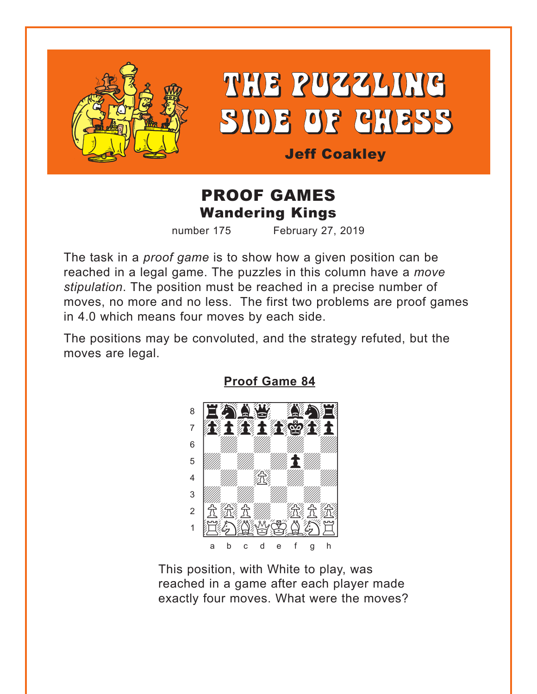<span id="page-0-0"></span>

# THE PUZZLING SIDE OF CHESS

**Jeff Coakley** 

## **PROOF GAMES Wandering Kings**

number 175

February 27, 2019

The task in a *proof game* is to show how a given position can be reached in a legal game. The puzzles in this column have a move stipulation. The position must be reached in a precise number of moves, no more and no less. The first two problems are proof games in 4.0 which means four moves by each side.

The positions may be convoluted, and the strategy refuted, but the moves are legal.



**Proof Game 84** 

This position, with White to play, was reached in a game after each player made exactly four moves. What were the moves?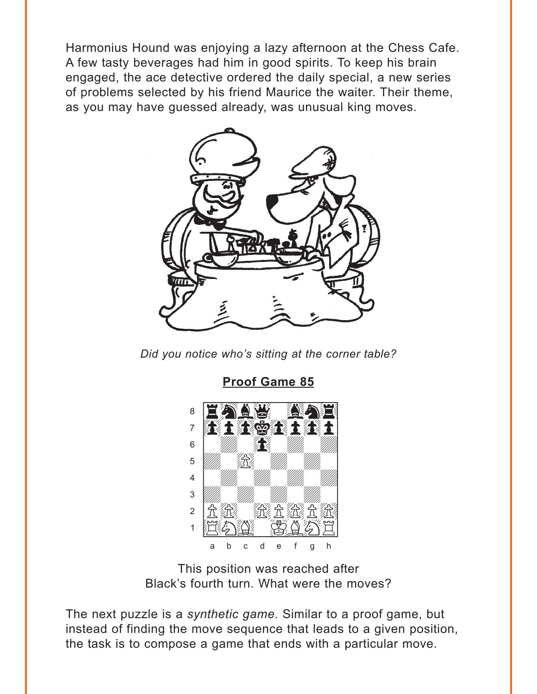<span id="page-1-0"></span>Harmonius Hound was enjoying a lazy afternoon at the Chess Cafe. A few tasty beverages had him in good spirits. To keep his brain engaged, the ace detective ordered the daily special, a new series of problems selected by his friend Maurice the waiter. Their theme, as you may have guessed already, was unusual king moves.



Did you notice who's sitting at the corner table?

**Proof Game 85** 



This position was reached after Black's fourth turn. What were the moves?

The next puzzle is a synthetic game. Similar to a proof game, but instead of finding the move sequence that leads to a given position, the task is to compose a game that ends with a particular move.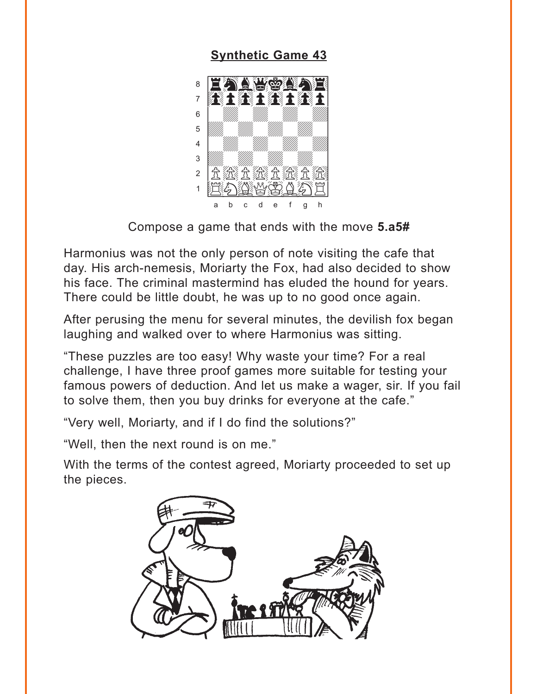#### **Synthetic Game 43**

<span id="page-2-0"></span>

Compose a game that ends with the move 5.a5#

Harmonius was not the only person of note visiting the cafe that day. His arch-nemesis, Moriarty the Fox, had also decided to show his face. The criminal mastermind has eluded the hound for years. There could be little doubt, he was up to no good once again.

After perusing the menu for several minutes, the devilish fox began laughing and walked over to where Harmonius was sitting.

"These puzzles are too easy! Why waste your time? For a real challenge. I have three proof games more suitable for testing your famous powers of deduction. And let us make a wager, sir. If you fail to solve them, then you buy drinks for everyone at the cafe."

"Very well, Moriarty, and if I do find the solutions?"

"Well, then the next round is on me."

With the terms of the contest agreed, Moriarty proceeded to set up the pieces.

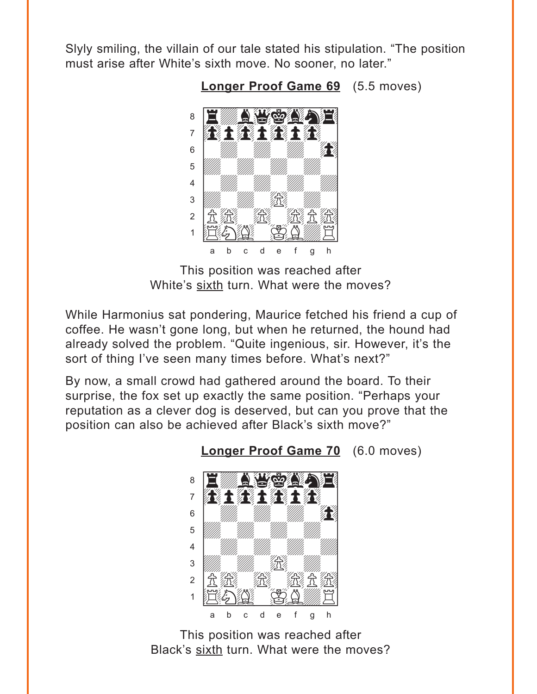<span id="page-3-0"></span>Slyly smiling, the villain of our tale stated his stipulation. "The position must arise after White's sixth move. No sooner, no later."

Longer Proof Game 69 (5.5 moves)



This position was reached after White's sixth turn. What were the moves?

While Harmonius sat pondering, Maurice fetched his friend a cup of coffee. He wasn't gone long, but when he returned, the hound had already solved the problem. "Quite ingenious, sir. However, it's the sort of thing I've seen many times before. What's next?"

By now, a small crowd had gathered around the board. To their surprise, the fox set up exactly the same position. "Perhaps your reputation as a clever dog is deserved, but can you prove that the position can also be achieved after Black's sixth move?"



**Longer Proof Game 70** (6.0 moves)

This position was reached after Black's sixth turn. What were the moves?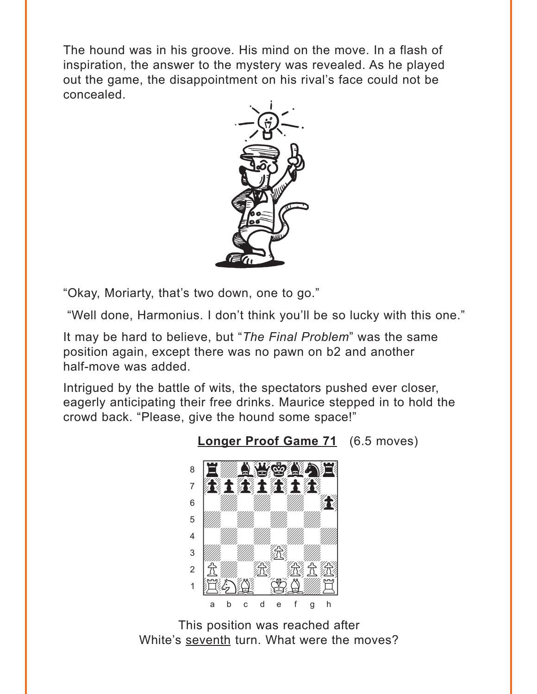<span id="page-4-0"></span>The hound was in his groove. His mind on the move. In a flash of inspiration, the answer to the mystery was revealed. As he played out the game, the disappointment on his rival's face could not be concealed.



"Okay, Moriarty, that's two down, one to go."

"Well done, Harmonius. I don't think you'll be so lucky with this one."

It may be hard to believe, but "The Final Problem" was the same position again, except there was no pawn on b2 and another half-move was added.

Intrigued by the battle of wits, the spectators pushed ever closer, eagerly anticipating their free drinks. Maurice stepped in to hold the crowd back. "Please, give the hound some space!"



Longer Proof Game 71 (6.5 moves)

This position was reached after White's seventh turn. What were the moves?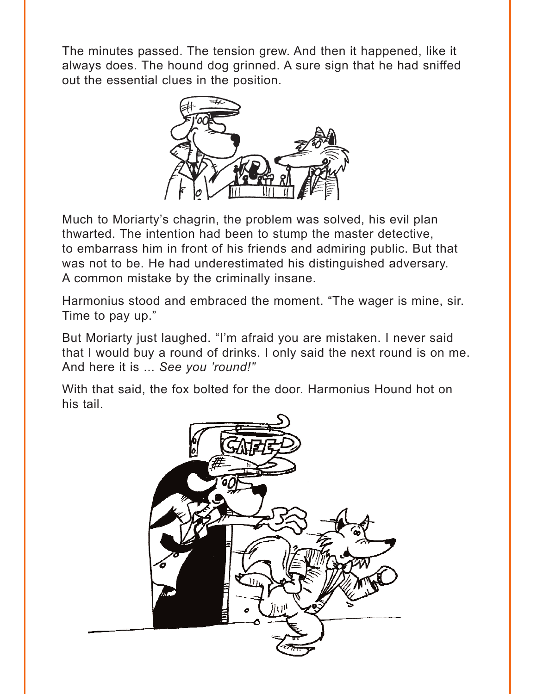The minutes passed. The tension grew. And then it happened, like it always does. The hound dog grinned. A sure sign that he had sniffed out the essential clues in the position.



Much to Moriarty's chagrin, the problem was solved, his evil plan thwarted. The intention had been to stump the master detective, to embarrass him in front of his friends and admiring public. But that was not to be. He had underestimated his distinguished adversary. A common mistake by the criminally insane.

Harmonius stood and embraced the moment. "The wager is mine, sir. Time to pay up."

But Moriarty just laughed. "I'm afraid you are mistaken. I never said that I would buy a round of drinks. I only said the next round is on me. And here it is ... *See you 'round!"*

With that said, the fox bolted for the door. Harmonius Hound hot on his tail.

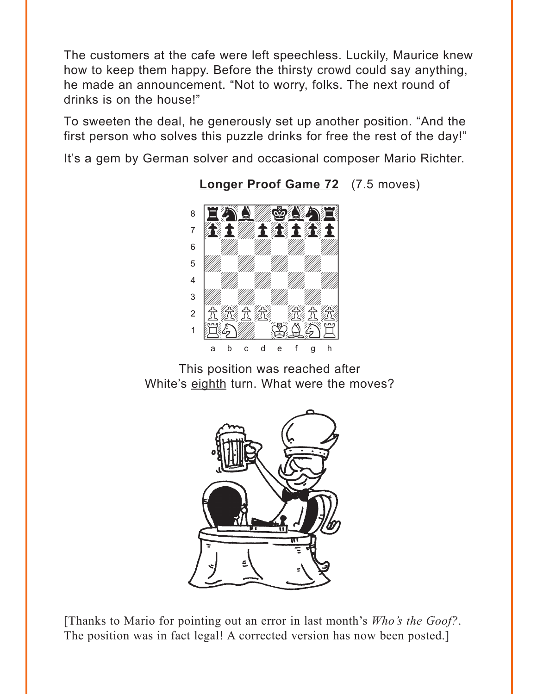<span id="page-6-0"></span>The customers at the cafe were left speechless. Luckily, Maurice knew how to keep them happy. Before the thirsty crowd could say anything, he made an announcement. "Not to worry, folks. The next round of drinks is on the house!"

To sweeten the deal, he generously set up another position. "And the first person who solves this puzzle drinks for free the rest of the day!"

It's a gem by German solver and occasional composer Mario Richter.



**Longer Proof Game 72** (7.5 moves)

This position was reached after White's eighth turn. What were the moves?



[Thanks to Mario for pointing out an error in last month's Who's the Goof?. The position was in fact legal! A corrected version has now been posted.]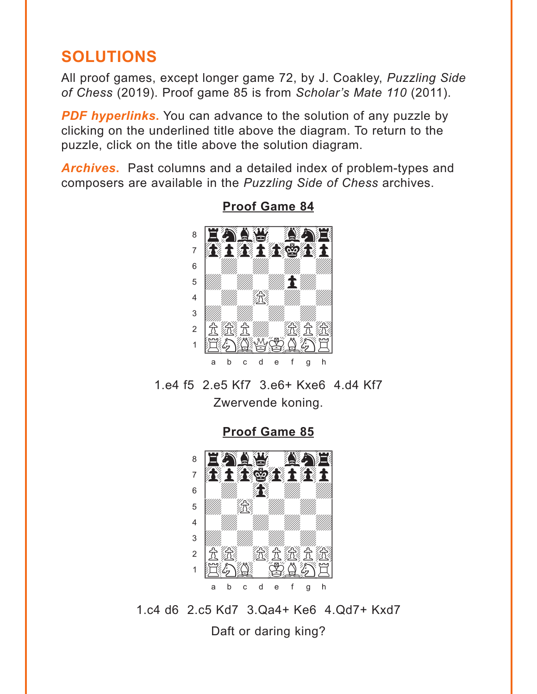## <span id="page-7-0"></span>**SOLUTIONS**

All proof games, except longer game 72, by J. Coakley, *Puzzling Side of Chess* (2019). Proof game 85 is from *Scholar's Mate 110* (2011).

**PDF hyperlinks.** You can advance to the solution of any puzzle by clicking on the underlined title above the diagram. To return to the puzzle, click on the title above the solution diagram.

*Archives***.** Past columns and a detailed index of problem-types and composers are available in the *Puzzling Side of Chess* archives.



**[Proof Game 84](#page-0-0)**

1.e4 f5 2.e5 Kf7 3.e6+ Kxe6 4.d4 Kf7 Zwervende koning.

**[Proof Game 85](#page-1-0)**



1.c4 d6 2.c5 Kd7 3.Qa4+ Ke6 4.Qd7+ Kxd7 Daft or daring king?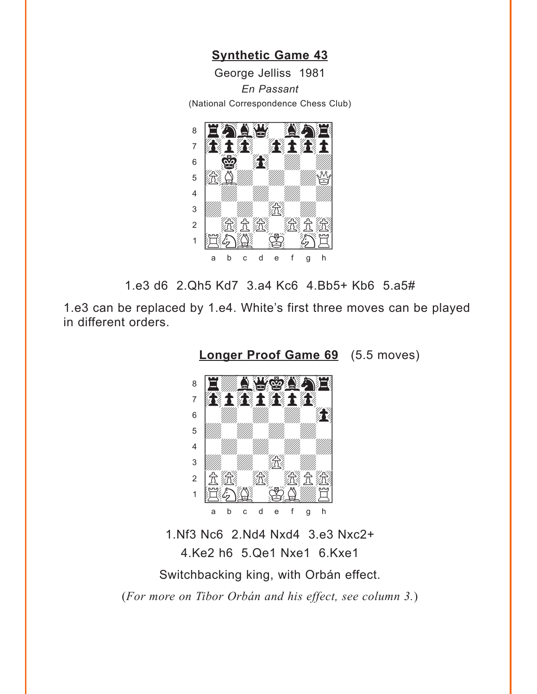**[Synthetic Game 43](#page-2-0)**

George Jelliss 1981

*En Passant*

<span id="page-8-0"></span>(National Correspondence Chess Club)



1.e3 d6 2.Qh5 Kd7 3.a4 Kc6 4.Bb5+ Kb6 5.a5#

1.e3 can be replaced by 1.e4. White's first three moves can be played in different orders.

**[Longer Proof Game 69](#page-3-0)** (5.5 moves)



1.Nf3 Nc6 2.Nd4 Nxd4 3.e3 Nxc2+ 4.Ke2 h6 5.Qe1 Nxe1 6.Kxe1 Switchbacking king, with Orbán effect. (*For more on Tibor Orbán and his effect, see column 3.*)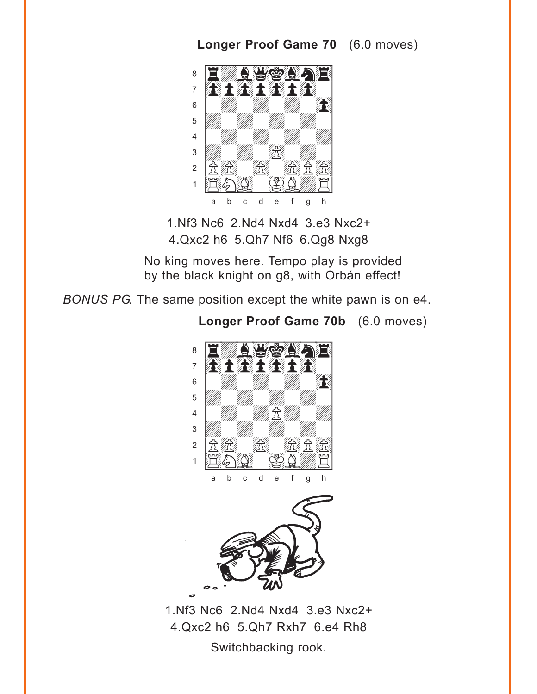## **[Longer Proof Game 70](#page-3-0)** (6.0 moves)

<span id="page-9-0"></span>

1.Nf3 Nc6 2.Nd4 Nxd4 3.e3 Nxc2+ 4.Qxc2 h6 5.Qh7 Nf6 6.Qg8 Nxg8

No king moves here. Tempo play is provided by the black knight on g8, with Orbán effect!

**[Longer Proof Game 70b](#page-3-0)** (6.0 moves)

*BONUS PG.* The same position except the white pawn is on e4.



1.Nf3 Nc6 2.Nd4 Nxd4 3.e3 Nxc2+ 4.Qxc2 h6 5.Qh7 Rxh7 6.e4 Rh8 Switchbacking rook.